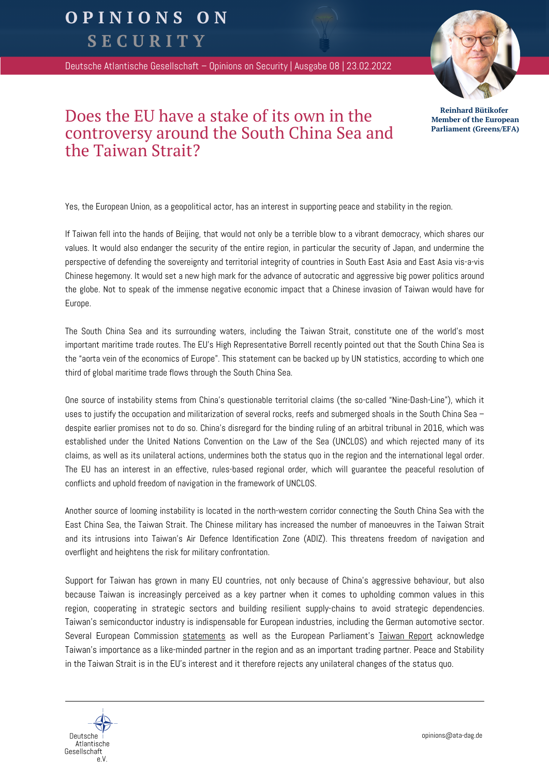## OPINIONS ON

SECURITY

Deutsche Atlantische Gesellschaft – Opinions on Security | Ausgabe 08 | 23.02.2022



**Reinhard Bütikofer Member of the European Parliament (Greens/EFA)**

## Does the EU have a stake of its own in the controversy around the South China Sea and the Taiwan Strait?

Yes, the European Union, as a geopolitical actor, has an interest in supporting peace and stability in the region.

If Taiwan fell into the hands of Beijing, that would not only be a terrible blow to a vibrant democracy, which shares our values. It would also endanger the security of the entire region, in particular the security of Japan, and undermine the perspective of defending the sovereignty and territorial integrity of countries in South East Asia and East Asia vis-a-vis Chinese hegemony. It would set a new high mark for the advance of autocratic and aggressive big power politics around the globe. Not to speak of the immense negative economic impact that a Chinese invasion of Taiwan would have for Europe.

The South China Sea and its surrounding waters, including the Taiwan Strait, constitute one of the world's most important maritime trade routes. The EU's High Representative Borrell recently pointed out that the South China Sea is the "aorta vein of the economics of Europe". This statement can be backed up by UN statistics, according to which one third of global maritime trade flows through the South China Sea.

One source of instability stems from China's questionable territorial claims (the so-called "Nine-Dash-Line"), which it uses to justify the occupation and militarization of several rocks, reefs and submerged shoals in the South China Sea – despite earlier promises not to do so. China's disregard for the binding ruling of an arbitral tribunal in 2016, which was established under the United Nations Convention on the Law of the Sea (UNCLOS) and which rejected many of its claims, as well as its unilateral actions, undermines both the status quo in the region and the international legal order. The EU has an interest in an effective, rules-based regional order, which will guarantee the peaceful resolution of conflicts and uphold freedom of navigation in the framework of UNCLOS.

Another source of looming instability is located in the north-western corridor connecting the South China Sea with the East China Sea, the Taiwan Strait. The Chinese military has increased the number of manoeuvres in the Taiwan Strait and its intrusions into Taiwan's Air Defence Identification Zone (ADIZ). This threatens freedom of navigation and overflight and heightens the risk for military confrontation.

Support for Taiwan has grown in many EU countries, not only because of China's aggressive behaviour, but also because Taiwan is increasingly perceived as a key partner when it comes to upholding common values in this region, cooperating in strategic sectors and building resilient supply-chains to avoid strategic dependencies. Taiwan's semiconductor industry is indispensable for European industries, including the German automotive sector. Several European Commission [statements](https://eeas.europa.eu/headquarters/headquarters-homepage/104789/china-high-representativevice-president-josep-borrell-holds-11th-eu-china-strategic-dialogue_en) as well as the European Parliament's [Taiwan](https://www.europarl.europa.eu/doceo/document/TA-9-2021-0431_EN.html) Report acknowledge Taiwan's importance as a like-minded partner in the region and as an important trading partner. Peace and Stability in the Taiwan Strait is in the EU's interest and it therefore rejects any unilateral changes of the status quo.